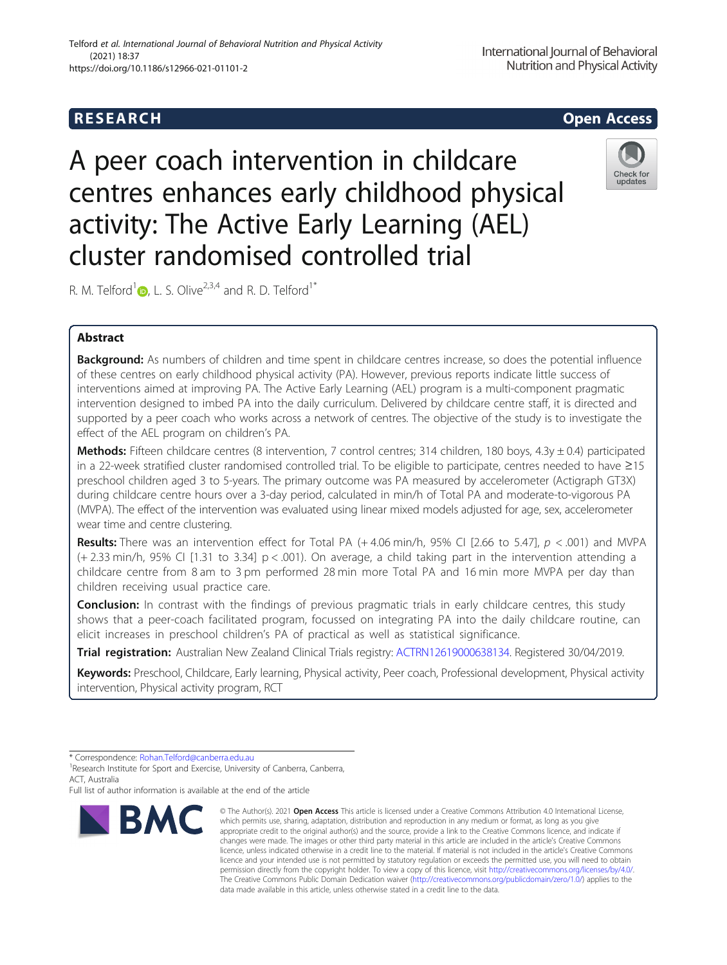# **RESEARCH CHEAR CHEAR CHEAR CHEAR CHEAR CHEAR CHEAR CHEAR CHEAR CHEAR CHEAR CHEAR CHEAR CHEAR CHEAR CHEAR CHEAR**

A peer coach intervention in childcare centres enhances early childhood physical activity: The Active Early Learning (AEL) cluster randomised controlled trial

R. M. Telford<sup>[1](http://orcid.org/0000-0002-1723-2559)</sup> $\bullet$ , L. S. Olive<sup>2,3,4</sup> and R. D. Telford<sup>1\*</sup>

## Abstract

Background: As numbers of children and time spent in childcare centres increase, so does the potential influence of these centres on early childhood physical activity (PA). However, previous reports indicate little success of interventions aimed at improving PA. The Active Early Learning (AEL) program is a multi-component pragmatic intervention designed to imbed PA into the daily curriculum. Delivered by childcare centre staff, it is directed and supported by a peer coach who works across a network of centres. The objective of the study is to investigate the effect of the AEL program on children's PA.

Methods: Fifteen childcare centres (8 intervention, 7 control centres; 314 children, 180 boys, 4.3y  $\pm$  0.4) participated in a 22-week stratified cluster randomised controlled trial. To be eligible to participate, centres needed to have ≥15 preschool children aged 3 to 5-years. The primary outcome was PA measured by accelerometer (Actigraph GT3X) during childcare centre hours over a 3-day period, calculated in min/h of Total PA and moderate-to-vigorous PA (MVPA). The effect of the intervention was evaluated using linear mixed models adjusted for age, sex, accelerometer wear time and centre clustering.

**Results:** There was an intervention effect for Total PA  $(+4.06 \text{ min/h}, 95\%$  CI [2.66 to 5.47],  $p < .001$ ) and MVPA (+ 2.33 min/h, 95% CI [1.31 to 3.34] p < .001). On average, a child taking part in the intervention attending a childcare centre from 8 am to 3 pm performed 28 min more Total PA and 16 min more MVPA per day than children receiving usual practice care.

**Conclusion:** In contrast with the findings of previous pragmatic trials in early childcare centres, this study shows that a peer-coach facilitated program, focussed on integrating PA into the daily childcare routine, can elicit increases in preschool children's PA of practical as well as statistical significance.

Trial registration: Australian New Zealand Clinical Trials registry: [ACTRN12619000638134](http://anzctr.org.au/Trial/Registration/TrialReview.aspx?id=377440). Registered 30/04/2019.

Keywords: Preschool, Childcare, Early learning, Physical activity, Peer coach, Professional development, Physical activity intervention, Physical activity program, RCT

Full list of author information is available at the end of the article

### Telford et al. International Journal of Behavioral Nutrition and Physical Activity (2021) 18:37 https://doi.org/10.1186/s12966-021-01101-2



<sup>©</sup> The Author(s), 2021 **Open Access** This article is licensed under a Creative Commons Attribution 4.0 International License, which permits use, sharing, adaptation, distribution and reproduction in any medium or format, as long as you give appropriate credit to the original author(s) and the source, provide a link to the Creative Commons licence, and indicate if changes were made. The images or other third party material in this article are included in the article's Creative Commons licence, unless indicated otherwise in a credit line to the material. If material is not included in the article's Creative Commons licence and your intended use is not permitted by statutory regulation or exceeds the permitted use, you will need to obtain permission directly from the copyright holder. To view a copy of this licence, visit [http://creativecommons.org/licenses/by/4.0/.](http://creativecommons.org/licenses/by/4.0/) The Creative Commons Public Domain Dedication waiver [\(http://creativecommons.org/publicdomain/zero/1.0/](http://creativecommons.org/publicdomain/zero/1.0/)) applies to the data made available in this article, unless otherwise stated in a credit line to the data.





International Journal of Behavioral Nutrition and Physical Activity

<sup>\*</sup> Correspondence: [Rohan.Telford@canberra.edu.au](mailto:Rohan.Telford@canberra.edu.au) <sup>1</sup>

<sup>&</sup>lt;sup>1</sup> Research Institute for Sport and Exercise, University of Canberra, Canberra, ACT, Australia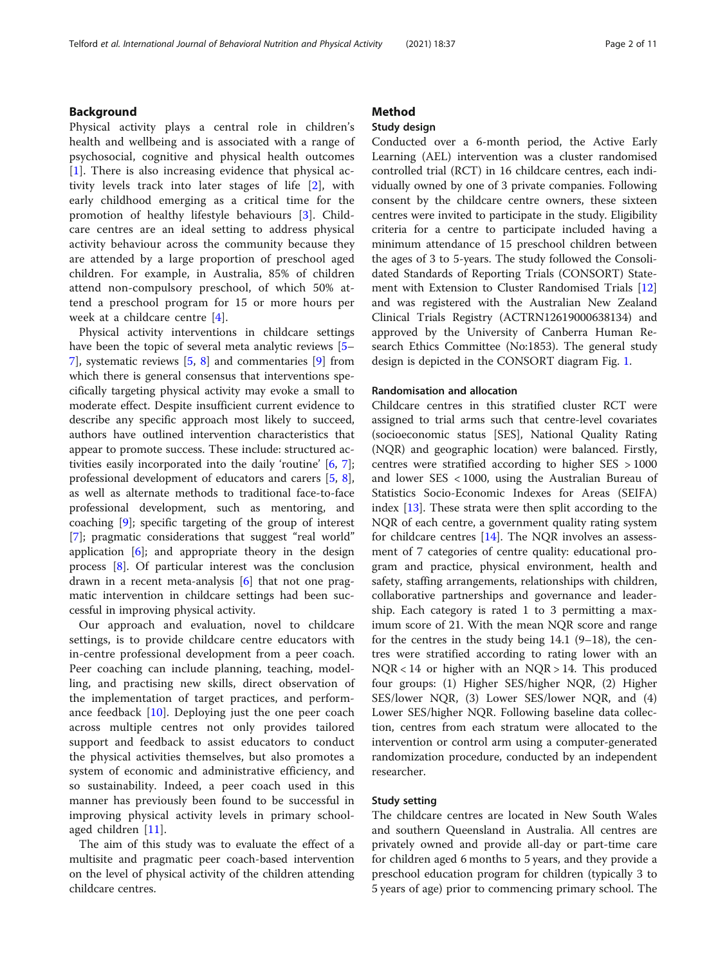### Background

Physical activity plays a central role in children's health and wellbeing and is associated with a range of psychosocial, cognitive and physical health outcomes [[1\]](#page-10-0). There is also increasing evidence that physical activity levels track into later stages of life [[2\]](#page-10-0), with early childhood emerging as a critical time for the promotion of healthy lifestyle behaviours [[3\]](#page-10-0). Childcare centres are an ideal setting to address physical activity behaviour across the community because they are attended by a large proportion of preschool aged children. For example, in Australia, 85% of children attend non-compulsory preschool, of which 50% attend a preschool program for 15 or more hours per week at a childcare centre [\[4](#page-10-0)].

Physical activity interventions in childcare settings have been the topic of several meta analytic reviews [[5](#page-10-0)– [7\]](#page-10-0), systematic reviews [\[5](#page-10-0), [8](#page-10-0)] and commentaries [[9\]](#page-10-0) from which there is general consensus that interventions specifically targeting physical activity may evoke a small to moderate effect. Despite insufficient current evidence to describe any specific approach most likely to succeed, authors have outlined intervention characteristics that appear to promote success. These include: structured activities easily incorporated into the daily 'routine' [\[6](#page-10-0), [7](#page-10-0)]; professional development of educators and carers [[5,](#page-10-0) [8](#page-10-0)], as well as alternate methods to traditional face-to-face professional development, such as mentoring, and coaching [\[9](#page-10-0)]; specific targeting of the group of interest [[7\]](#page-10-0); pragmatic considerations that suggest "real world" application [[6\]](#page-10-0); and appropriate theory in the design process [[8\]](#page-10-0). Of particular interest was the conclusion drawn in a recent meta-analysis [\[6](#page-10-0)] that not one pragmatic intervention in childcare settings had been successful in improving physical activity.

Our approach and evaluation, novel to childcare settings, is to provide childcare centre educators with in-centre professional development from a peer coach. Peer coaching can include planning, teaching, modelling, and practising new skills, direct observation of the implementation of target practices, and performance feedback [\[10](#page-10-0)]. Deploying just the one peer coach across multiple centres not only provides tailored support and feedback to assist educators to conduct the physical activities themselves, but also promotes a system of economic and administrative efficiency, and so sustainability. Indeed, a peer coach used in this manner has previously been found to be successful in improving physical activity levels in primary schoolaged children [\[11](#page-10-0)].

The aim of this study was to evaluate the effect of a multisite and pragmatic peer coach-based intervention on the level of physical activity of the children attending childcare centres.

### Method

### Study design

Conducted over a 6-month period, the Active Early Learning (AEL) intervention was a cluster randomised controlled trial (RCT) in 16 childcare centres, each individually owned by one of 3 private companies. Following consent by the childcare centre owners, these sixteen centres were invited to participate in the study. Eligibility criteria for a centre to participate included having a minimum attendance of 15 preschool children between the ages of 3 to 5-years. The study followed the Consolidated Standards of Reporting Trials (CONSORT) Statement with Extension to Cluster Randomised Trials [[12](#page-10-0)] and was registered with the Australian New Zealand Clinical Trials Registry (ACTRN12619000638134) and approved by the University of Canberra Human Research Ethics Committee (No:1853). The general study design is depicted in the CONSORT diagram Fig. [1.](#page-2-0)

### Randomisation and allocation

Childcare centres in this stratified cluster RCT were assigned to trial arms such that centre-level covariates (socioeconomic status [SES], National Quality Rating (NQR) and geographic location) were balanced. Firstly, centres were stratified according to higher SES > 1000 and lower SES < 1000, using the Australian Bureau of Statistics Socio-Economic Indexes for Areas (SEIFA) index [[13](#page-10-0)]. These strata were then split according to the NQR of each centre, a government quality rating system for childcare centres [\[14\]](#page-10-0). The NQR involves an assessment of 7 categories of centre quality: educational program and practice, physical environment, health and safety, staffing arrangements, relationships with children, collaborative partnerships and governance and leadership. Each category is rated 1 to 3 permitting a maximum score of 21. With the mean NQR score and range for the centres in the study being 14.1 (9–18), the centres were stratified according to rating lower with an NQR < 14 or higher with an NQR > 14. This produced four groups: (1) Higher SES/higher NQR, (2) Higher SES/lower NQR, (3) Lower SES/lower NQR, and (4) Lower SES/higher NQR. Following baseline data collection, centres from each stratum were allocated to the intervention or control arm using a computer-generated randomization procedure, conducted by an independent researcher.

### Study setting

The childcare centres are located in New South Wales and southern Queensland in Australia. All centres are privately owned and provide all-day or part-time care for children aged 6 months to 5 years, and they provide a preschool education program for children (typically 3 to 5 years of age) prior to commencing primary school. The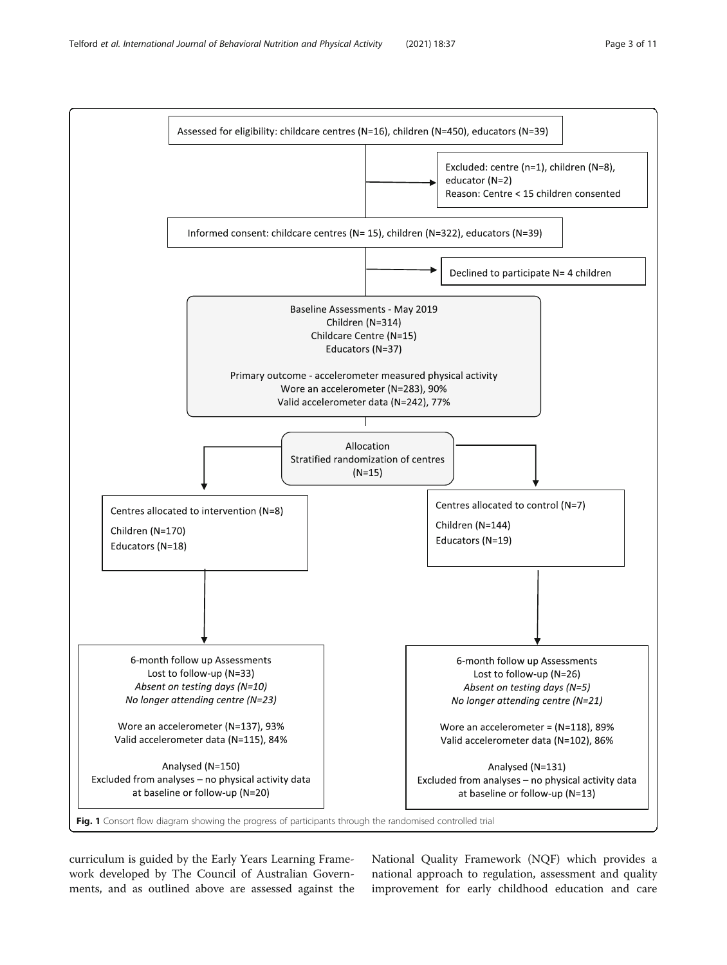<span id="page-2-0"></span>

curriculum is guided by the Early Years Learning Framework developed by The Council of Australian Governments, and as outlined above are assessed against the National Quality Framework (NQF) which provides a national approach to regulation, assessment and quality improvement for early childhood education and care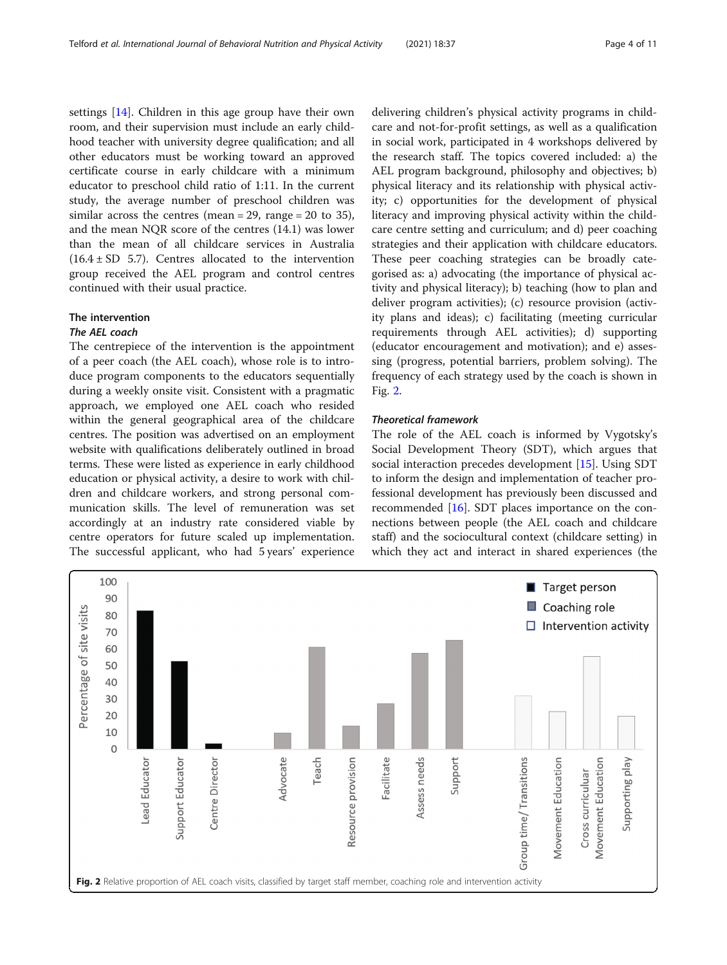<span id="page-3-0"></span>settings [[14](#page-10-0)]. Children in this age group have their own room, and their supervision must include an early childhood teacher with university degree qualification; and all other educators must be working toward an approved certificate course in early childcare with a minimum educator to preschool child ratio of 1:11. In the current study, the average number of preschool children was similar across the centres (mean = 29, range = 20 to 35), and the mean NQR score of the centres (14.1) was lower than the mean of all childcare services in Australia  $(16.4 \pm SD 5.7)$ . Centres allocated to the intervention group received the AEL program and control centres continued with their usual practice.

### The intervention

### The AEL coach

The centrepiece of the intervention is the appointment of a peer coach (the AEL coach), whose role is to introduce program components to the educators sequentially during a weekly onsite visit. Consistent with a pragmatic approach, we employed one AEL coach who resided within the general geographical area of the childcare centres. The position was advertised on an employment website with qualifications deliberately outlined in broad terms. These were listed as experience in early childhood education or physical activity, a desire to work with children and childcare workers, and strong personal communication skills. The level of remuneration was set accordingly at an industry rate considered viable by centre operators for future scaled up implementation. The successful applicant, who had 5 years' experience delivering children's physical activity programs in childcare and not-for-profit settings, as well as a qualification in social work, participated in 4 workshops delivered by the research staff. The topics covered included: a) the AEL program background, philosophy and objectives; b) physical literacy and its relationship with physical activity; c) opportunities for the development of physical literacy and improving physical activity within the childcare centre setting and curriculum; and d) peer coaching strategies and their application with childcare educators. These peer coaching strategies can be broadly categorised as: a) advocating (the importance of physical activity and physical literacy); b) teaching (how to plan and deliver program activities); (c) resource provision (activity plans and ideas); c) facilitating (meeting curricular requirements through AEL activities); d) supporting (educator encouragement and motivation); and e) assessing (progress, potential barriers, problem solving). The frequency of each strategy used by the coach is shown in Fig. 2.

### Theoretical framework

The role of the AEL coach is informed by Vygotsky's Social Development Theory (SDT), which argues that social interaction precedes development [\[15\]](#page-10-0). Using SDT to inform the design and implementation of teacher professional development has previously been discussed and recommended [\[16\]](#page-10-0). SDT places importance on the connections between people (the AEL coach and childcare staff) and the sociocultural context (childcare setting) in which they act and interact in shared experiences (the

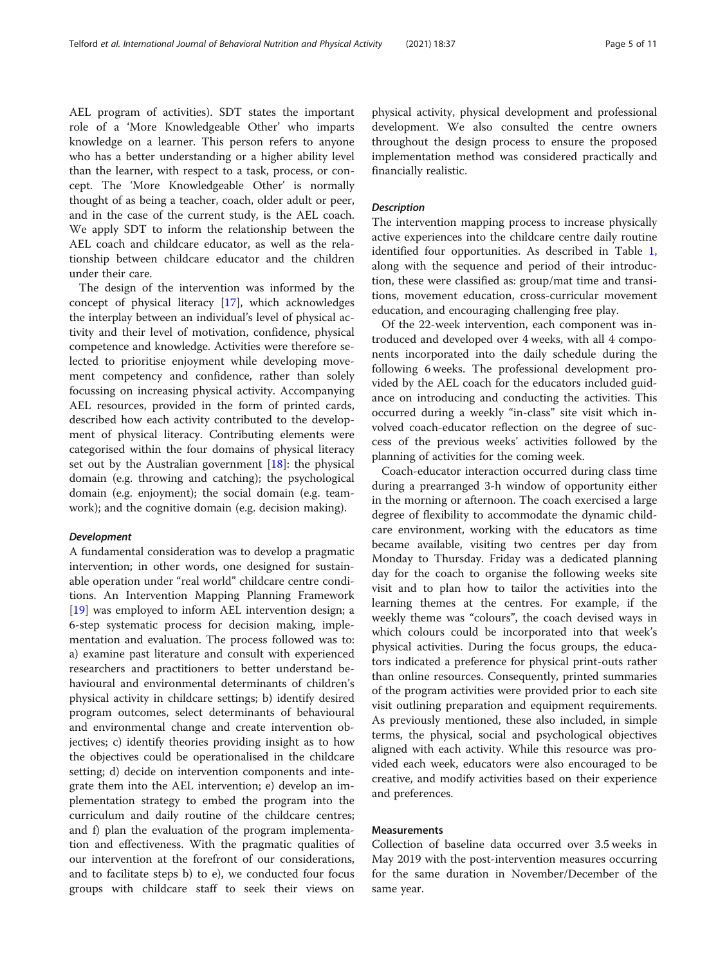AEL program of activities). SDT states the important role of a 'More Knowledgeable Other' who imparts knowledge on a learner. This person refers to anyone who has a better understanding or a higher ability level than the learner, with respect to a task, process, or concept. The 'More Knowledgeable Other' is normally thought of as being a teacher, coach, older adult or peer, and in the case of the current study, is the AEL coach. We apply SDT to inform the relationship between the AEL coach and childcare educator, as well as the relationship between childcare educator and the children under their care.

The design of the intervention was informed by the concept of physical literacy [[17\]](#page-10-0), which acknowledges the interplay between an individual's level of physical activity and their level of motivation, confidence, physical competence and knowledge. Activities were therefore selected to prioritise enjoyment while developing movement competency and confidence, rather than solely focussing on increasing physical activity. Accompanying AEL resources, provided in the form of printed cards, described how each activity contributed to the development of physical literacy. Contributing elements were categorised within the four domains of physical literacy set out by the Australian government [\[18\]](#page-10-0): the physical domain (e.g. throwing and catching); the psychological domain (e.g. enjoyment); the social domain (e.g. teamwork); and the cognitive domain (e.g. decision making).

### Development

A fundamental consideration was to develop a pragmatic intervention; in other words, one designed for sustainable operation under "real world" childcare centre conditions. An Intervention Mapping Planning Framework [[19\]](#page-10-0) was employed to inform AEL intervention design; a 6-step systematic process for decision making, implementation and evaluation. The process followed was to: a) examine past literature and consult with experienced researchers and practitioners to better understand behavioural and environmental determinants of children's physical activity in childcare settings; b) identify desired program outcomes, select determinants of behavioural and environmental change and create intervention objectives; c) identify theories providing insight as to how the objectives could be operationalised in the childcare setting; d) decide on intervention components and integrate them into the AEL intervention; e) develop an implementation strategy to embed the program into the curriculum and daily routine of the childcare centres; and f) plan the evaluation of the program implementation and effectiveness. With the pragmatic qualities of our intervention at the forefront of our considerations, and to facilitate steps b) to e), we conducted four focus groups with childcare staff to seek their views on physical activity, physical development and professional development. We also consulted the centre owners throughout the design process to ensure the proposed implementation method was considered practically and financially realistic.

### **Description**

The intervention mapping process to increase physically active experiences into the childcare centre daily routine identified four opportunities. As described in Table [1](#page-5-0), along with the sequence and period of their introduction, these were classified as: group/mat time and transitions, movement education, cross-curricular movement education, and encouraging challenging free play.

Of the 22-week intervention, each component was introduced and developed over 4 weeks, with all 4 components incorporated into the daily schedule during the following 6 weeks. The professional development provided by the AEL coach for the educators included guidance on introducing and conducting the activities. This occurred during a weekly "in-class" site visit which involved coach-educator reflection on the degree of success of the previous weeks' activities followed by the planning of activities for the coming week.

Coach-educator interaction occurred during class time during a prearranged 3-h window of opportunity either in the morning or afternoon. The coach exercised a large degree of flexibility to accommodate the dynamic childcare environment, working with the educators as time became available, visiting two centres per day from Monday to Thursday. Friday was a dedicated planning day for the coach to organise the following weeks site visit and to plan how to tailor the activities into the learning themes at the centres. For example, if the weekly theme was "colours", the coach devised ways in which colours could be incorporated into that week's physical activities. During the focus groups, the educators indicated a preference for physical print-outs rather than online resources. Consequently, printed summaries of the program activities were provided prior to each site visit outlining preparation and equipment requirements. As previously mentioned, these also included, in simple terms, the physical, social and psychological objectives aligned with each activity. While this resource was provided each week, educators were also encouraged to be creative, and modify activities based on their experience and preferences.

### Measurements

Collection of baseline data occurred over 3.5 weeks in May 2019 with the post-intervention measures occurring for the same duration in November/December of the same year.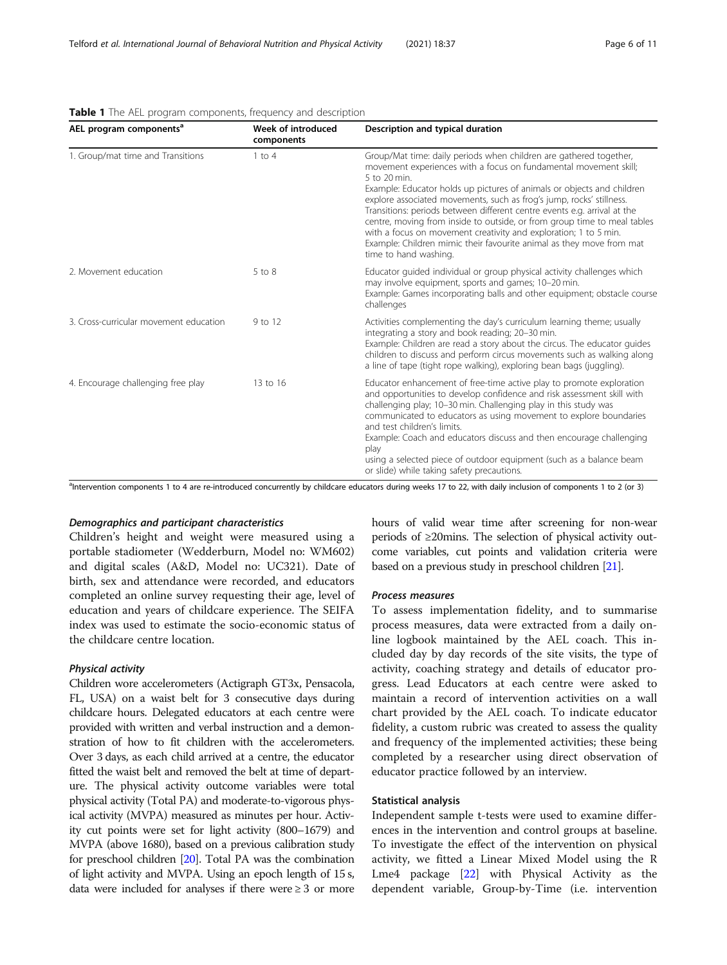| AEL program components <sup>a</sup>    | Week of introduced<br>components | Description and typical duration                                                                                                                                                                                                                                                                                                                                                                                                                                                                                                                                                                                                      |  |  |  |
|----------------------------------------|----------------------------------|---------------------------------------------------------------------------------------------------------------------------------------------------------------------------------------------------------------------------------------------------------------------------------------------------------------------------------------------------------------------------------------------------------------------------------------------------------------------------------------------------------------------------------------------------------------------------------------------------------------------------------------|--|--|--|
| 1. Group/mat time and Transitions      | $1$ to $4$                       | Group/Mat time: daily periods when children are gathered together,<br>movement experiences with a focus on fundamental movement skill;<br>5 to 20 min.<br>Example: Educator holds up pictures of animals or objects and children<br>explore associated movements, such as frog's jump, rocks' stillness.<br>Transitions: periods between different centre events e.g. arrival at the<br>centre, moving from inside to outside, or from group time to meal tables<br>with a focus on movement creativity and exploration; 1 to 5 min.<br>Example: Children mimic their favourite animal as they move from mat<br>time to hand washing. |  |  |  |
| 2. Movement education                  | 5 to 8                           | Educator guided individual or group physical activity challenges which<br>may involve equipment, sports and games; 10-20 min.<br>Example: Games incorporating balls and other equipment; obstacle course<br>challenges                                                                                                                                                                                                                                                                                                                                                                                                                |  |  |  |
| 3. Cross-curricular movement education | 9 to 12                          | Activities complementing the day's curriculum learning theme; usually<br>integrating a story and book reading; 20-30 min.<br>Example: Children are read a story about the circus. The educator guides<br>children to discuss and perform circus movements such as walking along<br>a line of tape (tight rope walking), exploring bean bags (juggling).                                                                                                                                                                                                                                                                               |  |  |  |
| 4. Encourage challenging free play     | 13 to 16                         | Educator enhancement of free-time active play to promote exploration<br>and opportunities to develop confidence and risk assessment skill with<br>challenging play; 10-30 min. Challenging play in this study was<br>communicated to educators as using movement to explore boundaries<br>and test children's limits.<br>Example: Coach and educators discuss and then encourage challenging<br>play<br>using a selected piece of outdoor equipment (such as a balance beam<br>or slide) while taking safety precautions.                                                                                                             |  |  |  |

#### <span id="page-5-0"></span>Table 1 The AEL program components, frequency and description

<sup>a</sup>Intervention components 1 to 4 are re-introduced concurrently by childcare educators during weeks 17 to 22, with daily inclusion of components 1 to 2 (or 3)

### Demographics and participant characteristics

Children's height and weight were measured using a portable stadiometer (Wedderburn, Model no: WM602) and digital scales (A&D, Model no: UC321). Date of birth, sex and attendance were recorded, and educators completed an online survey requesting their age, level of education and years of childcare experience. The SEIFA index was used to estimate the socio-economic status of the childcare centre location.

### Physical activity

Children wore accelerometers (Actigraph GT3x, Pensacola, FL, USA) on a waist belt for 3 consecutive days during childcare hours. Delegated educators at each centre were provided with written and verbal instruction and a demonstration of how to fit children with the accelerometers. Over 3 days, as each child arrived at a centre, the educator fitted the waist belt and removed the belt at time of departure. The physical activity outcome variables were total physical activity (Total PA) and moderate-to-vigorous physical activity (MVPA) measured as minutes per hour. Activity cut points were set for light activity (800–1679) and MVPA (above 1680), based on a previous calibration study for preschool children [[20\]](#page-10-0). Total PA was the combination of light activity and MVPA. Using an epoch length of 15 s, data were included for analyses if there were  $\geq 3$  or more hours of valid wear time after screening for non-wear periods of ≥20mins. The selection of physical activity outcome variables, cut points and validation criteria were based on a previous study in preschool children [[21](#page-10-0)].

### Process measures

To assess implementation fidelity, and to summarise process measures, data were extracted from a daily online logbook maintained by the AEL coach. This included day by day records of the site visits, the type of activity, coaching strategy and details of educator progress. Lead Educators at each centre were asked to maintain a record of intervention activities on a wall chart provided by the AEL coach. To indicate educator fidelity, a custom rubric was created to assess the quality and frequency of the implemented activities; these being completed by a researcher using direct observation of educator practice followed by an interview.

### Statistical analysis

Independent sample t-tests were used to examine differences in the intervention and control groups at baseline. To investigate the effect of the intervention on physical activity, we fitted a Linear Mixed Model using the R Lme4 package [\[22\]](#page-10-0) with Physical Activity as the dependent variable, Group-by-Time (i.e. intervention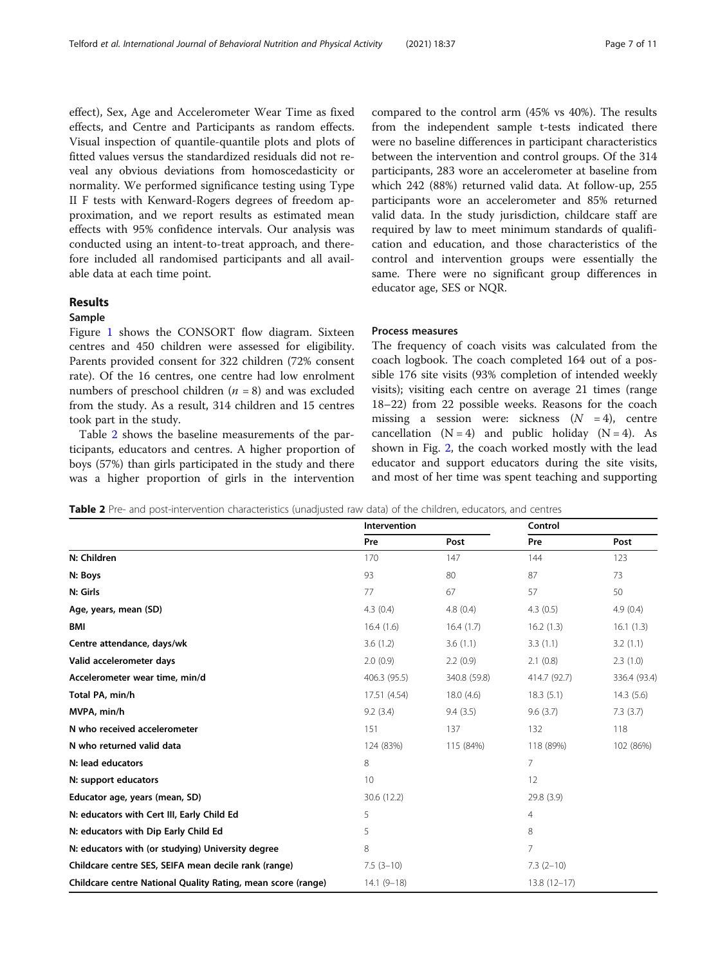effect), Sex, Age and Accelerometer Wear Time as fixed effects, and Centre and Participants as random effects. Visual inspection of quantile-quantile plots and plots of fitted values versus the standardized residuals did not reveal any obvious deviations from homoscedasticity or normality. We performed significance testing using Type II F tests with Kenward-Rogers degrees of freedom approximation, and we report results as estimated mean effects with 95% confidence intervals. Our analysis was conducted using an intent-to-treat approach, and therefore included all randomised participants and all available data at each time point.

### Results

### Sample

Figure [1](#page-2-0) shows the CONSORT flow diagram. Sixteen centres and 450 children were assessed for eligibility. Parents provided consent for 322 children (72% consent rate). Of the 16 centres, one centre had low enrolment numbers of preschool children  $(n = 8)$  and was excluded from the study. As a result, 314 children and 15 centres took part in the study.

Table 2 shows the baseline measurements of the participants, educators and centres. A higher proportion of boys (57%) than girls participated in the study and there was a higher proportion of girls in the intervention

compared to the control arm (45% vs 40%). The results from the independent sample t-tests indicated there were no baseline differences in participant characteristics between the intervention and control groups. Of the 314 participants, 283 wore an accelerometer at baseline from which 242 (88%) returned valid data. At follow-up, 255 participants wore an accelerometer and 85% returned valid data. In the study jurisdiction, childcare staff are required by law to meet minimum standards of qualification and education, and those characteristics of the control and intervention groups were essentially the same. There were no significant group differences in educator age, SES or NQR.

### Process measures

The frequency of coach visits was calculated from the coach logbook. The coach completed 164 out of a possible 176 site visits (93% completion of intended weekly visits); visiting each centre on average 21 times (range 18–22) from 22 possible weeks. Reasons for the coach missing a session were: sickness  $(N = 4)$ , centre cancellation  $(N = 4)$  and public holiday  $(N = 4)$ . As shown in Fig. [2,](#page-3-0) the coach worked mostly with the lead educator and support educators during the site visits, and most of her time was spent teaching and supporting

Table 2 Pre- and post-intervention characteristics (unadjusted raw data) of the children, educators, and centres

|                                                              | <b>Intervention</b> |              | Control       |              |  |
|--------------------------------------------------------------|---------------------|--------------|---------------|--------------|--|
|                                                              | Pre                 | Post         | Pre           | Post         |  |
| N: Children                                                  | 170                 | 147          | 144           | 123          |  |
| N: Boys                                                      | 93                  | 80           | 87            | 73           |  |
| N: Girls                                                     | 77                  | 67           | 57            | 50           |  |
| Age, years, mean (SD)                                        | 4.3(0.4)            | 4.8(0.4)     | 4.3(0.5)      | 4.9 (0.4)    |  |
| <b>BMI</b>                                                   | 16.4(1.6)           | 16.4(1.7)    | 16.2(1.3)     | 16.1(1.3)    |  |
| Centre attendance, days/wk                                   | 3.6(1.2)            | 3.6(1.1)     | 3.3(1.1)      | 3.2(1.1)     |  |
| Valid accelerometer days                                     | 2.0(0.9)            | 2.2(0.9)     | 2.1(0.8)      | 2.3(1.0)     |  |
| Accelerometer wear time, min/d                               | 406.3 (95.5)        | 340.8 (59.8) | 414.7 (92.7)  | 336.4 (93.4) |  |
| Total PA, min/h                                              | 17.51 (4.54)        | 18.0(4.6)    | 18.3(5.1)     | 14.3(5.6)    |  |
| MVPA, min/h                                                  | 9.2(3.4)            | 9.4(3.5)     | 9.6(3.7)      | 7.3(3.7)     |  |
| N who received accelerometer                                 | 151                 | 137          | 132           | 118          |  |
| N who returned valid data                                    | 124 (83%)           | 115 (84%)    | 118 (89%)     | 102 (86%)    |  |
| N: lead educators                                            | 8                   |              | 7             |              |  |
| N: support educators                                         | 10                  |              | 12            |              |  |
| Educator age, years (mean, SD)                               | 30.6 (12.2)         |              | 29.8 (3.9)    |              |  |
| N: educators with Cert III, Early Child Ed                   | 5                   |              | 4             |              |  |
| N: educators with Dip Early Child Ed                         | 5                   |              | 8             |              |  |
| N: educators with (or studying) University degree            | 8                   |              | 7             |              |  |
| Childcare centre SES, SEIFA mean decile rank (range)         | $7.5(3-10)$         |              | $7.3(2-10)$   |              |  |
| Childcare centre National Quality Rating, mean score (range) | $14.1(9-18)$        |              | $13.8(12-17)$ |              |  |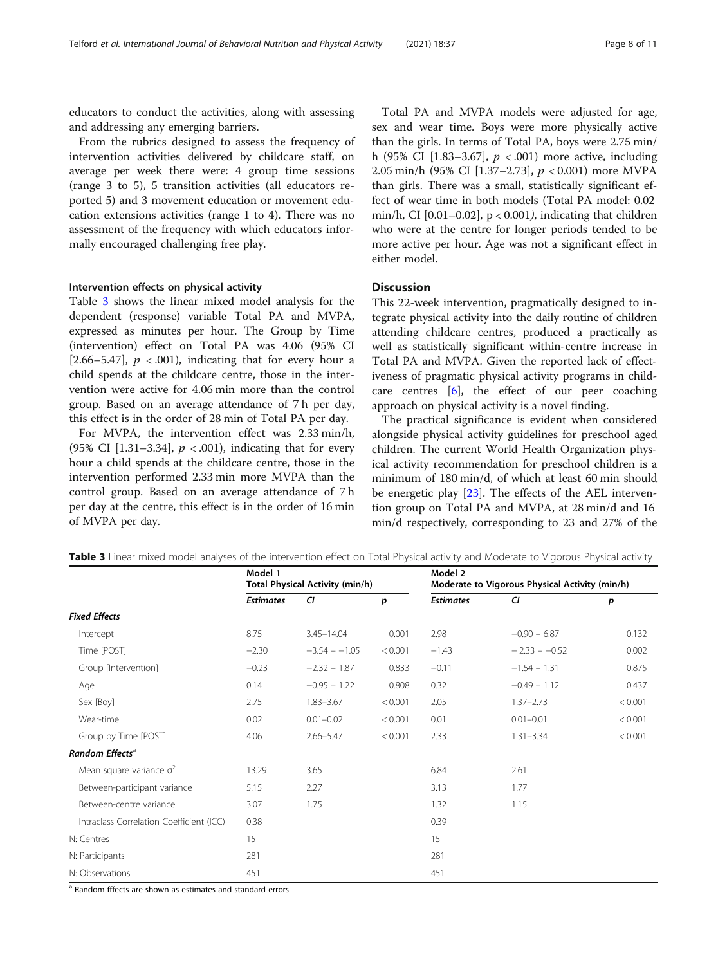educators to conduct the activities, along with assessing and addressing any emerging barriers.

From the rubrics designed to assess the frequency of intervention activities delivered by childcare staff, on average per week there were: 4 group time sessions (range 3 to 5), 5 transition activities (all educators reported 5) and 3 movement education or movement education extensions activities (range 1 to 4). There was no assessment of the frequency with which educators informally encouraged challenging free play.

### Intervention effects on physical activity

Table 3 shows the linear mixed model analysis for the dependent (response) variable Total PA and MVPA, expressed as minutes per hour. The Group by Time (intervention) effect on Total PA was 4.06 (95% CI [2.66–5.47],  $p \lt 0.001$ , indicating that for every hour a child spends at the childcare centre, those in the intervention were active for 4.06 min more than the control group. Based on an average attendance of 7 h per day, this effect is in the order of 28 min of Total PA per day.

For MVPA, the intervention effect was 2.33 min/h, (95% CI [1.31–3.34],  $p < .001$ ), indicating that for every hour a child spends at the childcare centre, those in the intervention performed 2.33 min more MVPA than the control group. Based on an average attendance of 7 h per day at the centre, this effect is in the order of 16 min of MVPA per day.

Total PA and MVPA models were adjusted for age, sex and wear time. Boys were more physically active than the girls. In terms of Total PA, boys were 2.75 min/ h (95% CI [1.83–3.67],  $p < .001$ ) more active, including 2.05 min/h (95% CI [1.37–2.73], p < 0.001) more MVPA than girls. There was a small, statistically significant effect of wear time in both models (Total PA model: 0.02 min/h, CI  $[0.01-0.02]$ ,  $p < 0.001$ ), indicating that children who were at the centre for longer periods tended to be more active per hour. Age was not a significant effect in either model.

### **Discussion**

This 22-week intervention, pragmatically designed to integrate physical activity into the daily routine of children attending childcare centres, produced a practically as well as statistically significant within-centre increase in Total PA and MVPA. Given the reported lack of effectiveness of pragmatic physical activity programs in childcare centres [[6\]](#page-10-0), the effect of our peer coaching approach on physical activity is a novel finding.

The practical significance is evident when considered alongside physical activity guidelines for preschool aged children. The current World Health Organization physical activity recommendation for preschool children is a minimum of 180 min/d, of which at least 60 min should be energetic play [[23](#page-10-0)]. The effects of the AEL intervention group on Total PA and MVPA, at 28 min/d and 16 min/d respectively, corresponding to 23 and 27% of the

|                                          | Model 1<br><b>Total Physical Activity (min/h)</b> |                 |         | Model 2<br>Moderate to Vigorous Physical Activity (min/h) |                 |         |
|------------------------------------------|---------------------------------------------------|-----------------|---------|-----------------------------------------------------------|-----------------|---------|
|                                          | <b>Estimates</b>                                  | CI              | p       | <b>Estimates</b>                                          | CI              | p       |
| <b>Fixed Effects</b>                     |                                                   |                 |         |                                                           |                 |         |
| Intercept                                | 8.75                                              | $3.45 - 14.04$  | 0.001   | 2.98                                                      | $-0.90 - 6.87$  | 0.132   |
| Time [POST]                              | $-2.30$                                           | $-3.54 - -1.05$ | < 0.001 | $-1.43$                                                   | $-2.33 - -0.52$ | 0.002   |
| Group [Intervention]                     | $-0.23$                                           | $-2.32 - 1.87$  | 0.833   | $-0.11$                                                   | $-1.54 - 1.31$  | 0.875   |
| Age                                      | 0.14                                              | $-0.95 - 1.22$  | 0.808   | 0.32                                                      | $-0.49 - 1.12$  | 0.437   |
| Sex [Boy]                                | 2.75                                              | $1.83 - 3.67$   | < 0.001 | 2.05                                                      | $1.37 - 2.73$   | < 0.001 |
| Wear-time                                | 0.02                                              | $0.01 - 0.02$   | < 0.001 | 0.01                                                      | $0.01 - 0.01$   | < 0.001 |
| Group by Time [POST]                     | 4.06                                              | $2.66 - 5.47$   | < 0.001 | 2.33                                                      | $1.31 - 3.34$   | < 0.001 |
| Random Effects <sup>a</sup>              |                                                   |                 |         |                                                           |                 |         |
| Mean square variance $\sigma^2$          | 13.29                                             | 3.65            |         | 6.84                                                      | 2.61            |         |
| Between-participant variance             | 5.15                                              | 2.27            |         | 3.13                                                      | 1.77            |         |
| Between-centre variance                  | 3.07                                              | 1.75            |         | 1.32                                                      | 1.15            |         |
| Intraclass Correlation Coefficient (ICC) | 0.38                                              |                 |         | 0.39                                                      |                 |         |
| N: Centres                               | 15                                                |                 |         | 15                                                        |                 |         |
| N: Participants                          | 281                                               |                 |         | 281                                                       |                 |         |
| N: Observations                          | 451                                               |                 |         | 451                                                       |                 |         |

Table 3 Linear mixed model analyses of the intervention effect on Total Physical activity and Moderate to Vigorous Physical activity

<sup>a</sup> Random fffects are shown as estimates and standard errors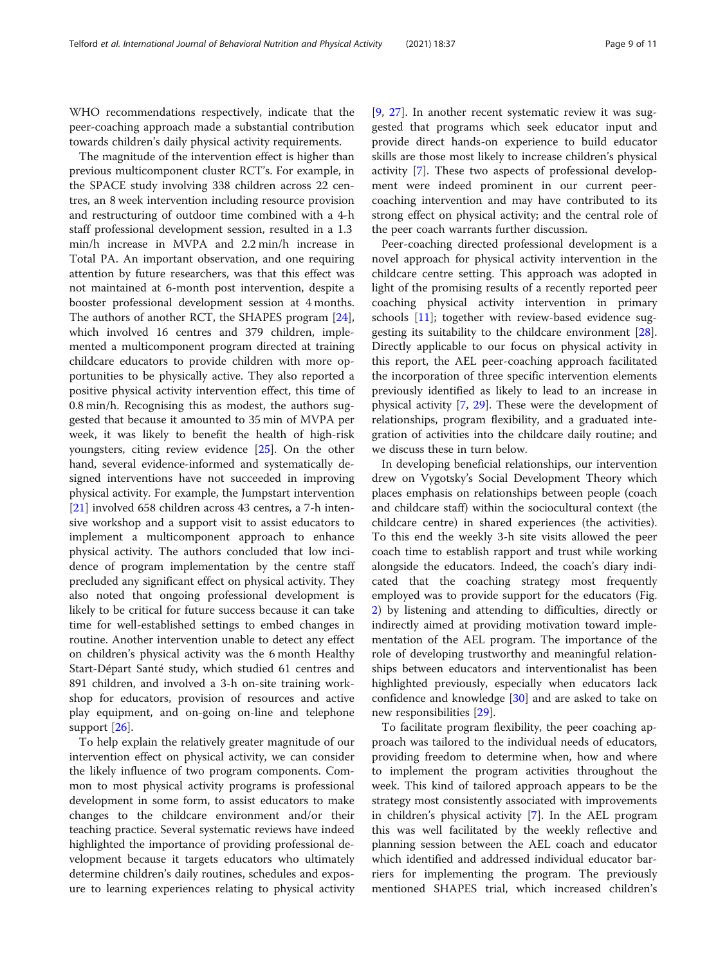WHO recommendations respectively, indicate that the peer-coaching approach made a substantial contribution towards children's daily physical activity requirements.

The magnitude of the intervention effect is higher than previous multicomponent cluster RCT's. For example, in the SPACE study involving 338 children across 22 centres, an 8 week intervention including resource provision and restructuring of outdoor time combined with a 4-h staff professional development session, resulted in a 1.3 min/h increase in MVPA and 2.2 min/h increase in Total PA. An important observation, and one requiring attention by future researchers, was that this effect was not maintained at 6-month post intervention, despite a booster professional development session at 4 months. The authors of another RCT, the SHAPES program [\[24](#page-10-0)], which involved 16 centres and 379 children, implemented a multicomponent program directed at training childcare educators to provide children with more opportunities to be physically active. They also reported a positive physical activity intervention effect, this time of 0.8 min/h. Recognising this as modest, the authors suggested that because it amounted to 35 min of MVPA per week, it was likely to benefit the health of high-risk youngsters, citing review evidence [[25](#page-10-0)]. On the other hand, several evidence-informed and systematically designed interventions have not succeeded in improving physical activity. For example, the Jumpstart intervention [[21\]](#page-10-0) involved 658 children across 43 centres, a 7-h intensive workshop and a support visit to assist educators to implement a multicomponent approach to enhance physical activity. The authors concluded that low incidence of program implementation by the centre staff precluded any significant effect on physical activity. They also noted that ongoing professional development is likely to be critical for future success because it can take time for well-established settings to embed changes in routine. Another intervention unable to detect any effect on children's physical activity was the 6 month Healthy Start-Départ Santé study, which studied 61 centres and 891 children, and involved a 3-h on-site training workshop for educators, provision of resources and active play equipment, and on-going on-line and telephone support [\[26](#page-10-0)].

To help explain the relatively greater magnitude of our intervention effect on physical activity, we can consider the likely influence of two program components. Common to most physical activity programs is professional development in some form, to assist educators to make changes to the childcare environment and/or their teaching practice. Several systematic reviews have indeed highlighted the importance of providing professional development because it targets educators who ultimately determine children's daily routines, schedules and exposure to learning experiences relating to physical activity

[[9,](#page-10-0) [27\]](#page-10-0). In another recent systematic review it was suggested that programs which seek educator input and provide direct hands-on experience to build educator skills are those most likely to increase children's physical activity [\[7](#page-10-0)]. These two aspects of professional development were indeed prominent in our current peercoaching intervention and may have contributed to its strong effect on physical activity; and the central role of the peer coach warrants further discussion.

Peer-coaching directed professional development is a novel approach for physical activity intervention in the childcare centre setting. This approach was adopted in light of the promising results of a recently reported peer coaching physical activity intervention in primary schools [[11](#page-10-0)]; together with review-based evidence suggesting its suitability to the childcare environment [\[28](#page-10-0)]. Directly applicable to our focus on physical activity in this report, the AEL peer-coaching approach facilitated the incorporation of three specific intervention elements previously identified as likely to lead to an increase in physical activity [\[7,](#page-10-0) [29\]](#page-10-0). These were the development of relationships, program flexibility, and a graduated integration of activities into the childcare daily routine; and we discuss these in turn below.

In developing beneficial relationships, our intervention drew on Vygotsky's Social Development Theory which places emphasis on relationships between people (coach and childcare staff) within the sociocultural context (the childcare centre) in shared experiences (the activities). To this end the weekly 3-h site visits allowed the peer coach time to establish rapport and trust while working alongside the educators. Indeed, the coach's diary indicated that the coaching strategy most frequently employed was to provide support for the educators (Fig. [2\)](#page-3-0) by listening and attending to difficulties, directly or indirectly aimed at providing motivation toward implementation of the AEL program. The importance of the role of developing trustworthy and meaningful relationships between educators and interventionalist has been highlighted previously, especially when educators lack confidence and knowledge [\[30](#page-10-0)] and are asked to take on new responsibilities [\[29\]](#page-10-0).

To facilitate program flexibility, the peer coaching approach was tailored to the individual needs of educators, providing freedom to determine when, how and where to implement the program activities throughout the week. This kind of tailored approach appears to be the strategy most consistently associated with improvements in children's physical activity [\[7](#page-10-0)]. In the AEL program this was well facilitated by the weekly reflective and planning session between the AEL coach and educator which identified and addressed individual educator barriers for implementing the program. The previously mentioned SHAPES trial, which increased children's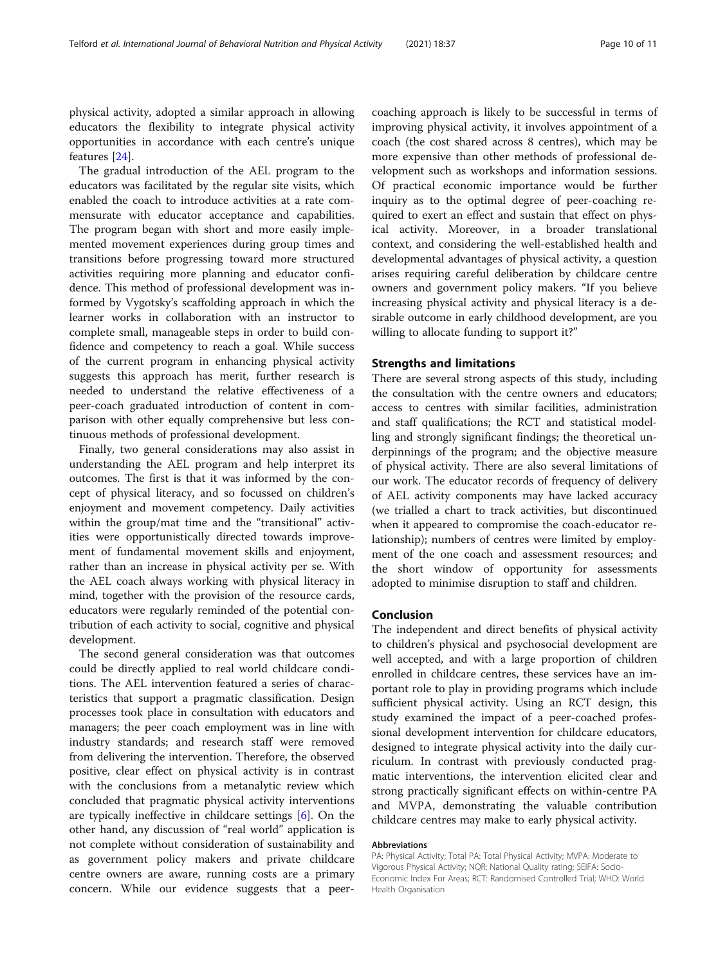physical activity, adopted a similar approach in allowing educators the flexibility to integrate physical activity opportunities in accordance with each centre's unique features [[24\]](#page-10-0).

The gradual introduction of the AEL program to the educators was facilitated by the regular site visits, which enabled the coach to introduce activities at a rate commensurate with educator acceptance and capabilities. The program began with short and more easily implemented movement experiences during group times and transitions before progressing toward more structured activities requiring more planning and educator confidence. This method of professional development was informed by Vygotsky's scaffolding approach in which the learner works in collaboration with an instructor to complete small, manageable steps in order to build confidence and competency to reach a goal. While success of the current program in enhancing physical activity suggests this approach has merit, further research is needed to understand the relative effectiveness of a peer-coach graduated introduction of content in comparison with other equally comprehensive but less continuous methods of professional development.

Finally, two general considerations may also assist in understanding the AEL program and help interpret its outcomes. The first is that it was informed by the concept of physical literacy, and so focussed on children's enjoyment and movement competency. Daily activities within the group/mat time and the "transitional" activities were opportunistically directed towards improvement of fundamental movement skills and enjoyment, rather than an increase in physical activity per se. With the AEL coach always working with physical literacy in mind, together with the provision of the resource cards, educators were regularly reminded of the potential contribution of each activity to social, cognitive and physical development.

The second general consideration was that outcomes could be directly applied to real world childcare conditions. The AEL intervention featured a series of characteristics that support a pragmatic classification. Design processes took place in consultation with educators and managers; the peer coach employment was in line with industry standards; and research staff were removed from delivering the intervention. Therefore, the observed positive, clear effect on physical activity is in contrast with the conclusions from a metanalytic review which concluded that pragmatic physical activity interventions are typically ineffective in childcare settings [[6](#page-10-0)]. On the other hand, any discussion of "real world" application is not complete without consideration of sustainability and as government policy makers and private childcare centre owners are aware, running costs are a primary concern. While our evidence suggests that a peercoaching approach is likely to be successful in terms of improving physical activity, it involves appointment of a coach (the cost shared across 8 centres), which may be more expensive than other methods of professional development such as workshops and information sessions. Of practical economic importance would be further inquiry as to the optimal degree of peer-coaching required to exert an effect and sustain that effect on physical activity. Moreover, in a broader translational context, and considering the well-established health and developmental advantages of physical activity, a question arises requiring careful deliberation by childcare centre owners and government policy makers. "If you believe increasing physical activity and physical literacy is a desirable outcome in early childhood development, are you willing to allocate funding to support it?"

### Strengths and limitations

There are several strong aspects of this study, including the consultation with the centre owners and educators; access to centres with similar facilities, administration and staff qualifications; the RCT and statistical modelling and strongly significant findings; the theoretical underpinnings of the program; and the objective measure of physical activity. There are also several limitations of our work. The educator records of frequency of delivery of AEL activity components may have lacked accuracy (we trialled a chart to track activities, but discontinued when it appeared to compromise the coach-educator relationship); numbers of centres were limited by employment of the one coach and assessment resources; and the short window of opportunity for assessments adopted to minimise disruption to staff and children.

#### Conclusion

The independent and direct benefits of physical activity to children's physical and psychosocial development are well accepted, and with a large proportion of children enrolled in childcare centres, these services have an important role to play in providing programs which include sufficient physical activity. Using an RCT design, this study examined the impact of a peer-coached professional development intervention for childcare educators, designed to integrate physical activity into the daily curriculum. In contrast with previously conducted pragmatic interventions, the intervention elicited clear and strong practically significant effects on within-centre PA and MVPA, demonstrating the valuable contribution childcare centres may make to early physical activity.

#### Abbreviations

PA: Physical Activity; Total PA: Total Physical Activity; MVPA: Moderate to Vigorous Physical Activity; NQR: National Quality rating; SEIFA: Socio-Economic Index For Areas; RCT: Randomised Controlled Trial; WHO: World Health Organisation